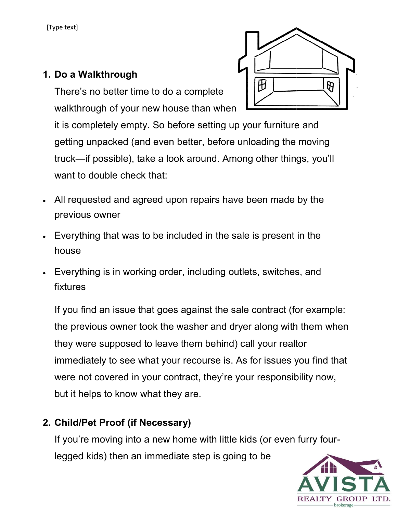[Type text]

# 1. Do a Walkthrough

There's no better time to do a complete walkthrough of your new house than when

it is completely empty. So before setting up your furniture getting unpacked (and even better, before unloading the moving truck—if possible), take a look around. Among other things, you'll want to double check that: unpacked (and even better, before unloading the moving<br>if possible), take a look around. Among other things, you'll<br>double check that:<br>lested and agreed upon repairs have been made by the

- All requested and agreed upon repairs have been made by the previous owner
- Everything that was to be included in the sale is present in the house
- Everything is in working order, including outlets, switches, and fixtures Everything that was to be included in the sale is present in the<br>house<br>Everything is in working order, including outlets, switches, and<br>fixtures<br>If you find an issue that goes against the sale contract (for example:

If you find an issue that goes against the sale contract (for example: the previous owner took the washer and dryer along with them when they were supposed to leave them behind) call your realtor immediately to see what your recourse is. As for issues you find that were not covered in your contract, they're your responsibility now, but it helps to know what they are. it is completely empty. So before setting up your furniture and<br>getting unpacked (and even better, before unloading the moving<br>truck—if possible), take a look around. Among other things, you'll<br>want to double check that:<br>A

# 2. Child/Pet Proof (if Necessary)

If you're moving into a new home with little kids (or even furry fourlegged kids) then an immediate step is going to be



brokerage

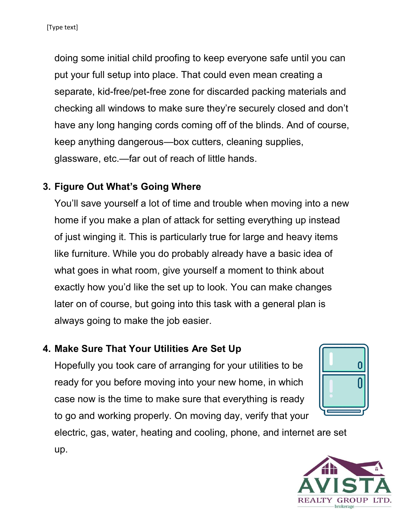doing some initial child proofing to keep everyone safe until you can put your full setup into place. That could even mean creating a separate, kid-free/pet-free zone for discarded packing materials and checking all windows to make sure they're securely closed and don't have any long hanging cords coming off of the blinds. And of course, keep anything dangerous glassware, etc.—far out of reach of little hands. king all windows to make sure they're securely closed<br>any long hanging cords coming off of the blinds. And<br>anything dangerous—box cutters, cleaning supplies,

### 3. Figure Out What's Going Where

You'll save yourself a lot of time and trouble when moving into a new home if you make a plan of attack for setting everything up instead of just winging it. This is particularly true for large and heavy items like furniture. While you do probably already have a basic idea of what goes in what room, give yourself a moment to think about exactly how you'd like the set up to look. You can make changes later on of course, but going into this task with a general plan is always going to make the job easier. glassware, etc.—far out of reach of little hands.<br> **Figure Out What's Going Where**<br>
You'll save yourself a lot of time and trouble when moving into a<br>
home if you make a plan of attack for setting everything up instea<br>
of rate, kid-free/pet-free zone for discarded packing mate<br>ving all windows to make sure they're securely closed<br>any long hanging cords coming off of the blinds. And<br>anything dangerous—box cutters, cleaning supplies,<br>ware, et

## 4. Make Sure That Your Utilities Are Set Up

Hopefully you took care of arranging for your ready for you before moving into your new home, in which case now is the time to make sure that everything is ready to go and working properly. On moving day, verify that your



electric, gas, water, heating and cooling, phone, and internet are set up.

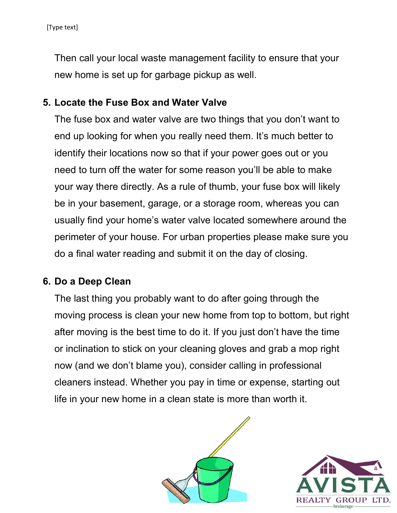Then call your local waste management facility to ensure that your<br>new home is set up for garbage pickup as well. new home is set up for garbage

### 5. Locate the Fuse Box and Water Valve Box and

The fuse box and water valve are two things that you don't want to<br>end up looking for when you really need them. It's much better to end up looking for when you really need them. It's much better to identify their locations now so that if your power goes out or you need to turn off the water for some reason you'll be able to make your way there directly. As a rule of thumb, your fuse box will likely be in your basement, garage, or a storage room, whereas you can usually find your home's water valve located somewhere around the need to turn off the water for some reason you'll be able to make<br>your way there directly. As a rule of thumb, your fuse box will likely<br>be in your basement, garage, or a storage room, whereas you can<br>usually find your hom do a final water reading and submit it on the day of closing. final end up looking for when you really need them. It's much better to<br>identify their locations now so that if your power goes out or you<br>need to turn off the water for some reason you'll be able to make<br>your way there directly

### 6. Do a Deep Clean

The last thing you probably want to do after going through the moving process is clean your new home from top to bottom, but right after moving is the best time to do it. If you just don't have the time or inclination to stick on your cleaning gloves and grab a mop right now (and we don't blame you), consider calling in professional cleaners instead. Whether you pay in time or expense, starting out life in your new home in a clean state is more than worth it. last thing you probably want to do after going through the<br>ing process is clean your new home from top to bottom, but right<br>moving is the best time to do it. If you just don't have the time



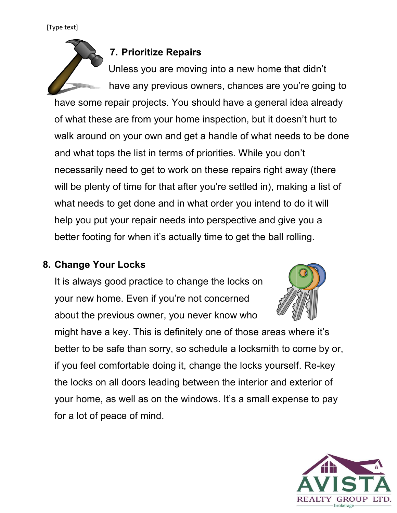#### [Type text]

### 7. Prioritize Repairs

Unless you are moving into a new home that didn't have any previous owners, chances are you're going to have some repair projects. You should have a general idea already have any previous owners, chances are you're going thave some repair projects. You should have a general idea already<br>of what these are from your home inspection, but it doesn't hurt to walk around on your own and get a handle of what needs to be done and what tops the list in terms of priorities. While you don't necessarily need to get to work on these repairs right away (there will be plenty of time for that after you're settled in), making a list of what needs to get done and in what order you intend to do it will help you put your repair needs into perspective and give you a better footing for when it's actually time to get the ball rolling. walk around on your own and get a handle of what needs to be done<br>and what tops the list in terms of priorities. While you don't<br>necessarily need to get to work on these repairs right away (there<br>will be plenty of time for ese are from your home inspection, but it doesn't hurt to<br>nd on your own and get a handle of what needs to be dor<br>tops the list in terms of priorities. While you don't<br>ly need to get to work on these repairs right away (th

### 8. Change Your Locks

It is always good practice to change the locks on your new home. Even if you're not concerned about the previous owner, you never know who



might have a key. This is definitely one of those areas where it's better to be safe than sorry, so schedule a locksmith to come by or, if you feel comfortable doing it, change the locks yourself the locks on all doors leading between the interior and exterior of your home, as well as on the windows. It's a small expense to pay for a lot of peace of mind. tter footing for when it's actually time to get the ball rolling.<br> **ange Your Locks**<br>
s always good practice to change the locks on<br>
ur new home. Even if you're not concerned<br>
out the previous owner, you never know who<br>
gh

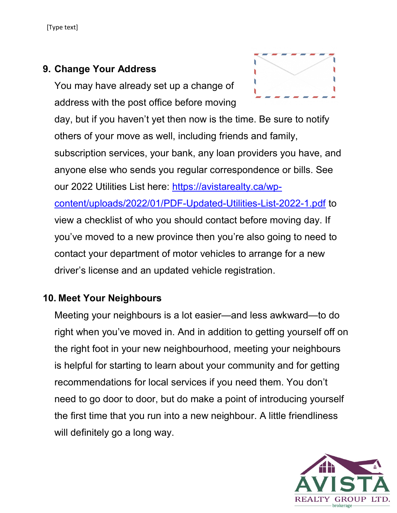## 9. Change Your Address

You may have already set up a change of address with the post office before moving

day, but if you haven't yet then now is the time. Be sure to notify others of your move as well, including friends and family, subscription services, your bank, any loan providers you have, and anyone else who sends you regular correspondence or bills. See our 2022 Utilities List here: https://avistarealty.ca/wpcontent/uploads/2022/01/PDF-Updated-Utilities-List-2022-1.pdf to view a checklist of who you should contact before moving day. If you've moved to a new province then you're also going to need to contact your department of motor vehicles to arrange for a new driver's license and an updated vehicle registration.

## 10. Meet Your Neighbours

Meeting your neighbours is a lot easier—and less awkward—to do right when you've moved in. And in addition to getting yourself off on the right foot in your new neighbourhood, meeting your neighbours is helpful for starting to learn about your community and for getting recommendations for local services if you need them. You don't need to go door to door, but do make a point of introducing yourself the first time that you run into a new neighbour. A little friendliness will definitely go a long way.